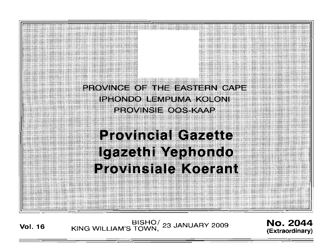

BISHO<sup>/</sup> 23 JANUARY 2009 **NO. 2044**<br>
KING WILLIAM'S TOWN, 23 JANUARY 2009

**(Extraordinary)**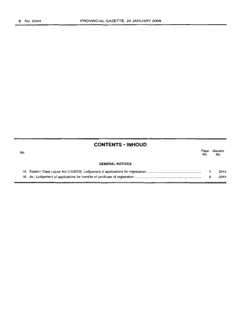|     | <b>CONTENTS • INHOUD</b> |             |                |
|-----|--------------------------|-------------|----------------|
| No. |                          | Page<br>No. | Gazette<br>No. |
|     | <b>GENERAL NOTICES</b>   |             |                |
| 15  |                          | з           | 2044           |
| 16  |                          | 8           | 2044           |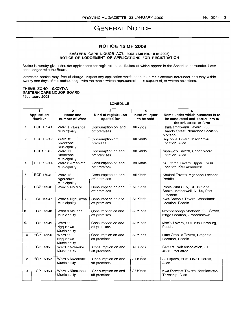# **GENERAL NOTICE**

# **NOTICE 15 OF 2009**

### EASTERN CAPE LIQUOR ACT, 2003 (Act No.1 0 of 2003) NOTICE OF LODGEMENT OF APPLICATIONS FOR REGISTRATION

Notice is hereby given that the applications for registration, particulars of which appear in the Schedule hereunder, have been lodged with the Board.

Interested parties rnay, free of charge, inspect any application which appears in the Schedule hereunder and may within twenty one days of this notice, lodge with the Board written representations in support of, or written objections.

#### THEMBI ZONO - GXOYIYA EASTERN CAPE UQUOR BOARD 13January 2008

#### **SCHEDULE**

| 1                                                   |                  | 2                                   | 3                                  | 4                                                                                             | 5                                                                          |
|-----------------------------------------------------|------------------|-------------------------------------|------------------------------------|-----------------------------------------------------------------------------------------------|----------------------------------------------------------------------------|
| Application<br>Name and<br>Number<br>number of Ward |                  | Kind of registration<br>applied for | Kind of liquor<br>to be sold       | Name under which business is to<br>be conducted and particulars of<br>the erf, street or farm |                                                                            |
| 1.                                                  | ECP 15941        | Ward 1 Inkwanca<br>Municipality     | Consumption on and<br>off premises | All kinds                                                                                     | Thulalamntwana Tavern, 268<br>Thando Street, Nomonde Location.<br>Molteno  |
| 2.                                                  | ECP 15942        | Ward 12<br>Nkonkobe<br>Municipality | Consumption off<br>premises        | <b>All Kinds</b>                                                                              | Sigcobile Tavern, Msobomvu<br>Location, Alice                              |
| 3                                                   | ECP15943         | Ward 11<br>Nkonkobe<br>Municipality | Consumption on and<br>off premises | All Kinds                                                                                     | Siphiwe's Tavern, Upper Ncera<br>Location, Alice                           |
| 4.                                                  | <b>ECP 15944</b> | Ward 3 Amahlathi<br>Municipality    | Consumption on and<br>off premises | <b>All Kinds</b>                                                                              | zama Tavern, Upper Gxulu<br>Si<br>Location, Keiskamahoek                   |
| 5.                                                  | ECP 15945        | Ward 12<br>Nggushwa<br>Municipality | Consumption on and<br>off premises | All Kinds                                                                                     | Khulani Tavern, Mgababa Location,<br>Peddie                                |
| 6.                                                  | ECP 15946        | Ward 5 NMMM                         | Consumption on and<br>off premises | All Kinds                                                                                     | Phola Park HLA, 101 Hlalane<br>Shaks, Motherwell, N.U.9, Port<br>Elizabeth |
| 7.                                                  | <b>ECP 15947</b> | Ward 9 Ngqushwa<br>Municipality     | Consumption on and<br>off premises | All Kinds                                                                                     | Kwa-Sbesh's Tavern, Woodlands<br>Location, Peddie                          |
| 8.                                                  | <b>ECP 15948</b> | Ward 9 Makana<br>Municipality       | Consumption on and<br>off premises | All Kinds                                                                                     | Ntombebongo Shebeen, 22   Street,<br>Fingo Location, Grahamstown           |
| 9.                                                  | <b>ECP 15949</b> | Ward 11<br>Ngqushwa<br>Municipality | Consumption on and<br>off premises | All Kinds                                                                                     | Mxo's Tavern, ERF 239 Hamburg,<br>Peddie                                   |
| 10.                                                 | ECP 15950        | Ward 11<br>Ngqushwa<br>Municipality | Consumption on and<br>off premises | All Kinds                                                                                     | Little Creek's Tavern, Bingqala<br>Location, Peddie                        |
| 11.                                                 | ECP 15951        | Ward 7 Ndlambe<br>Municipality      | Consumption on and<br>off premises | All Kinds                                                                                     | Settlers Park Association, ERF<br>4353. Port Afred                         |
| 12.                                                 | <b>ECP 15952</b> | Ward 5 Nkonkobe<br>Municipality     | Consumption on and<br>off premises | All Kinds                                                                                     | Ali Liquors, ERF 3957 Hillcrest,<br>Alice                                  |
| 13.                                                 | ECP 15953        | Ward 6 Nkonkobe<br>Municipality     | Consumption on and<br>off premises | All Kinds                                                                                     | Kwa Stamper Tavern, Ntselamanzi<br>Township, Alice                         |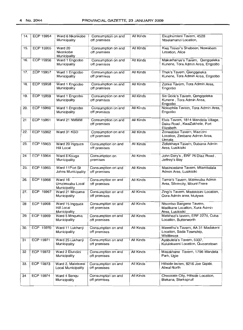| 14. | ECP 15954        | Ward 6 Nkonkobe<br>Municipality               | Consumption on and<br>off premises | All Kinds        | Ekuphumleni Tavern, 4528<br>Ntselamanzi Location,                               |
|-----|------------------|-----------------------------------------------|------------------------------------|------------------|---------------------------------------------------------------------------------|
| 15. | ECP 15955        | Ward 20<br>Nkonkobe<br>Municipality           | Consumption on and<br>off premises | All Kinds        | Kwa Trevor's Shebeen, Newabem<br>Location, Alice                                |
| 16. | ECP 15956        | Ward 1 Engcobo<br>Municipality                | Consumption on and<br>off premises | All Kinds        | Makukhanye's Tavern, Qengqeleka<br>Kunene, Tora Admin Area, Engcobo             |
| 17. | ECP 15957        | Ward 1 Engcobo<br>Municipality                | Consumption on and<br>off premises | All Kinds        | Thek's Tavern, Qengqeleka<br>Kunene, Tora Admin Area, Engcobo                   |
| 18. | <b>ECP 15958</b> | Ward 1 Engcobo<br>Municipality                | Consumption on and<br>off premises | All Kinds        | Zonke Tavern, Tora Admin Area,<br>Engcobo                                       |
| 19. | ECP 15959        | Ward 1 Engcobo<br>Municipality                | Consumption on and<br>off premises | All Kinds        | Sis Gcok's Tavern, Qengqeleka<br>Kunene, Tora Admin Area,<br>Engcobo            |
| 20. | ECP 15960        | Ward 1 Engcobo<br>Municipality                | Consumption on and<br>off premises | <b>All Kinds</b> | Nokuphila Tavern, Tora Admin Area,<br>Engcobo                                   |
| 21  | ECP 15961        | Ward 21 NMMM                                  | Consumption on and<br>off premises | All Kinds        | Elvis Tavern, 1814 Mandela Village,<br>Daku Road, KwaZakhele, Port<br>Elizabeth |
| 22. | ECP 15962        | Ward 31 KSD                                   | Consumption on and<br>off premises | All Kinds        | Zonwabise Tavern, Mazizini<br>Location, Zimbane Admin Area,<br>Umtata           |
| 23. | ECP 15963        | Ward 20 Ingquza<br>Hill Local                 | Consumption on and<br>off premises | All Kinds        | Zidlekhaya Tavern, Dubana Admin<br>Area, Lusikisiki                             |
| 24  | ECP 15964        | Ward 8 Kouga<br>Municipality                  | Consumption on<br>premises         | All Kinds        | John Dory's, ERF 76 Diaz Road,<br>Jeffrey's Bay                                 |
| 25. | ECP 15965        | Ward 11Port St<br>Johns Municipality          | Consumption on and<br>off premises | All Kinds        | Masincedane Tavern, Mtambalala<br>Admin Area, Lusikisiki                        |
| 26. | ECP 15966        | Ward 16<br>Umzimvubu Local<br>Municipality    | Consumption on and<br>off premises | All Kinds        | Tamie's Tavern, Mzimvubu Admin<br>Area, Silvercity, Mount Frere                 |
| 27. | ECP 15967        | Ward 21 Mnquma<br>Municipality                | Consumption on and<br>off premises | All Kinds        | Zingi's Tavern, Madokisini Location,<br>Qora Admin area, Idutywa                |
| 28  | <b>ECP 15968</b> | Ward 15 Ingquza<br>Hill Local<br>Municipality | Consumption on and<br>off premises | All Kinds        | Ntsontso Bangene Tavern,<br>Madikane Location, Xura Admin<br>Area, Lusikisiki   |
| 29. | ECP 15969        | Ward 5 Mnguma<br>Municipality                 | Consumption on and<br>off premises | All Kinds        | Matshezi's tavern, ERF 2276, Cuba<br>Location, Butterworth                      |
| 30. | ECP 15970        | Ward 11 Lukhanji<br>Municipality              | Consumption on and<br>off premises | All Kinds        | Mawethu's Tavern, AA 31 Madakeni<br>Location, Sada Township,<br>Whittlesea      |
| 31  | <b>ECP 15971</b> | Ward 25 Lukhanji<br>Municipality              | Consumption on and<br>off premises | <b>All Kinds</b> | Ayabulela's Tavern, 5337,<br>Kululekweni Location, Queenstown                   |
| 32  | ECP 15972        | Ward 2 Elundini<br>Municipality               | Consumption on and<br>off premises | <b>All Kinds</b> | Masakhane Tavern, 1756 Mandela<br>Park, Ugie                                    |
| 33. | ECP 15973        | Ward 2. Maletswai<br>Local Municipality       | Consumption on and<br>off premises | All Kinds        | Hillside tavern, 8216 Joe Gqabi,<br><b>Aliwal North</b>                         |
| 34  | <b>ECP 15974</b> | Ward 4 Senqu<br>Municipality                  | Consumption on and<br>off premises | All Kinds        | Chocolate City, Hillside Location,<br>Blekana, Sterkspruit                      |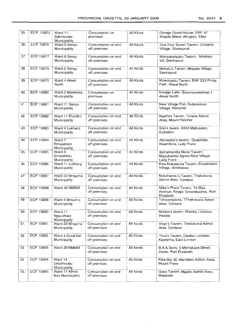| <b>ECP 15976</b><br>36.<br>Ward 6 Senqu<br>Consumption on and<br>One Four Seven Tavern, Umlamli<br>All Kinds<br>Municipality<br>off premises<br>Village, Sterkspruit<br>37.<br><b>ECP 15977</b><br>Ward 8 Senqu<br>All Kinds<br>Consumption on and<br>Manyukunyuku Tavern, Mokhesi<br>Municipality<br>off premises<br>Vill, Sterkspruit<br><b>ECP 15978</b><br>38<br>Ward 6 Senqu<br>All Kinds<br>Consumption on and<br>Mkhulu's Tavern, Majuba Village,<br>Municipality<br>off premises<br>Sterkspruit<br>ECP 15979<br>39.<br>Ward 4 Aliwal<br>All Kinds<br>Consumption on and<br>Mzwabantu Tavern, ERF 233 Phola<br>North<br>off premises<br>Park, Aliwal North<br><b>ECP 15980</b><br>40.<br>Ward 2 Maletswai<br>All Kinds<br>Consumption on<br>Indulge Latte, Sommersetstreet 1<br><b>Aliwal North</b><br>Municipality<br>premises<br>ECP 15981<br>41<br>Ward 11 Senqu<br>Consumption on and<br>All Kinds<br>New Village Pub, Dubinkonzo<br>Municipality<br>off premises<br>Village, Herschel<br><b>ECP 15982</b><br>42<br>Ward 11 Elundini<br>Consumption on and<br>All Kinds<br>Nyathini Tavern, Tinana Admin<br>Municipality<br>off premises<br>Area, Mount Fletcher<br>ECP 15983<br><b>All Kinds</b><br>43<br>Ward 4 Lukhanji<br>Consumption on and<br>Sno's tavern, 8349 Mabuyaze,<br>Municipality<br>off premises<br>Ezibeleni |  |
|------------------------------------------------------------------------------------------------------------------------------------------------------------------------------------------------------------------------------------------------------------------------------------------------------------------------------------------------------------------------------------------------------------------------------------------------------------------------------------------------------------------------------------------------------------------------------------------------------------------------------------------------------------------------------------------------------------------------------------------------------------------------------------------------------------------------------------------------------------------------------------------------------------------------------------------------------------------------------------------------------------------------------------------------------------------------------------------------------------------------------------------------------------------------------------------------------------------------------------------------------------------------------------------------------------------------------------------|--|
|                                                                                                                                                                                                                                                                                                                                                                                                                                                                                                                                                                                                                                                                                                                                                                                                                                                                                                                                                                                                                                                                                                                                                                                                                                                                                                                                          |  |
|                                                                                                                                                                                                                                                                                                                                                                                                                                                                                                                                                                                                                                                                                                                                                                                                                                                                                                                                                                                                                                                                                                                                                                                                                                                                                                                                          |  |
|                                                                                                                                                                                                                                                                                                                                                                                                                                                                                                                                                                                                                                                                                                                                                                                                                                                                                                                                                                                                                                                                                                                                                                                                                                                                                                                                          |  |
|                                                                                                                                                                                                                                                                                                                                                                                                                                                                                                                                                                                                                                                                                                                                                                                                                                                                                                                                                                                                                                                                                                                                                                                                                                                                                                                                          |  |
|                                                                                                                                                                                                                                                                                                                                                                                                                                                                                                                                                                                                                                                                                                                                                                                                                                                                                                                                                                                                                                                                                                                                                                                                                                                                                                                                          |  |
|                                                                                                                                                                                                                                                                                                                                                                                                                                                                                                                                                                                                                                                                                                                                                                                                                                                                                                                                                                                                                                                                                                                                                                                                                                                                                                                                          |  |
|                                                                                                                                                                                                                                                                                                                                                                                                                                                                                                                                                                                                                                                                                                                                                                                                                                                                                                                                                                                                                                                                                                                                                                                                                                                                                                                                          |  |
|                                                                                                                                                                                                                                                                                                                                                                                                                                                                                                                                                                                                                                                                                                                                                                                                                                                                                                                                                                                                                                                                                                                                                                                                                                                                                                                                          |  |
| 44<br><b>ECP 15984</b><br>Ward 7<br>Consumption on and<br>All Kinds<br>Atonwaba's tavern, Qoqodala,<br>Emalahleni<br>off premises<br>Kwamfene, Lady Frere<br>Municipality                                                                                                                                                                                                                                                                                                                                                                                                                                                                                                                                                                                                                                                                                                                                                                                                                                                                                                                                                                                                                                                                                                                                                                |  |
| 45<br>ECP 15985<br>Ward 8<br>All Kinds<br>Consumption on and<br>Siphamandla Nkosi Tavern,<br>Emalahleni<br>off premises<br>Mgqukwebe Agnes Rest Village,<br>Lady Frere<br>Municipality                                                                                                                                                                                                                                                                                                                                                                                                                                                                                                                                                                                                                                                                                                                                                                                                                                                                                                                                                                                                                                                                                                                                                   |  |
| 46<br>ECP 15986<br>All Kinds<br>Kwa Nokwanda Tavern, Emabheleni<br>Ward 11 Lukhanji<br>Consumption on and<br>Municipality<br>off premises<br>Village, Whittlesea                                                                                                                                                                                                                                                                                                                                                                                                                                                                                                                                                                                                                                                                                                                                                                                                                                                                                                                                                                                                                                                                                                                                                                         |  |
| ECP 15987<br>47<br>Ward 23 Mngurna<br>All Kinds<br>Consumption on and<br>Noluthando's Tavern, Thekokona<br>Admin Area, Centane<br>Municipality<br>off premises                                                                                                                                                                                                                                                                                                                                                                                                                                                                                                                                                                                                                                                                                                                                                                                                                                                                                                                                                                                                                                                                                                                                                                           |  |
| 48<br><b>ECP 15988</b><br>Ward 40 NMMM<br>Consumption on and<br>All Kinds<br>Mike's Place Tavern, 74 May<br>off premises<br>Avenue, Keyga, Greenbushes, Port<br>Elizabeth                                                                                                                                                                                                                                                                                                                                                                                                                                                                                                                                                                                                                                                                                                                                                                                                                                                                                                                                                                                                                                                                                                                                                                |  |
| ECP 15989<br>49<br>Ward 4 Mnquma<br>All Kinds<br>Tshisampama, TThekokona Admin<br>Consumption on and<br>Municipality<br>off premises<br>Area, Centane                                                                                                                                                                                                                                                                                                                                                                                                                                                                                                                                                                                                                                                                                                                                                                                                                                                                                                                                                                                                                                                                                                                                                                                    |  |
| <b>ECP 15990</b><br>50.<br>All Kinds<br>Ward 11<br>Consumption on and<br>Ntsikie's tavern, Wesley Location,<br>off premises<br>Peddie<br>Ngqushwa<br>Municipality                                                                                                                                                                                                                                                                                                                                                                                                                                                                                                                                                                                                                                                                                                                                                                                                                                                                                                                                                                                                                                                                                                                                                                        |  |
| Ward 23 Mnqurna<br>51.<br>ECP 15991<br>Consumption on and<br>All Kinds<br>Vege's Tavern, Thekokona Admin<br>Municipality<br>off premises<br>Area, Centane                                                                                                                                                                                                                                                                                                                                                                                                                                                                                                                                                                                                                                                                                                                                                                                                                                                                                                                                                                                                                                                                                                                                                                                |  |
| ECP 15992<br>52<br>Ward 4 Great Kei<br>All Kinds<br>Consumption on and<br>Thuli's Tavern, Gwaba Location,<br>Municipality<br>off premises<br>Kwelerha, East London                                                                                                                                                                                                                                                                                                                                                                                                                                                                                                                                                                                                                                                                                                                                                                                                                                                                                                                                                                                                                                                                                                                                                                       |  |
| ECP 15993<br>53<br>Ward 29 NMMM<br>All Kinds<br>B.A & Sons, 5 Mtshakaza Street,<br>Consumption on and<br>off premises<br>Zwide, Port Elizabeth                                                                                                                                                                                                                                                                                                                                                                                                                                                                                                                                                                                                                                                                                                                                                                                                                                                                                                                                                                                                                                                                                                                                                                                           |  |
| 54<br>ECP 15994<br>Ward 14<br>All Kinds<br>Consumption on and<br>Kwa Ma- M, Mandileni Admin Area,<br>Umzimyubu<br>off premises<br>Mount Frere<br>Municipality                                                                                                                                                                                                                                                                                                                                                                                                                                                                                                                                                                                                                                                                                                                                                                                                                                                                                                                                                                                                                                                                                                                                                                            |  |
| ECP 15995<br>55.<br>Ward 17 Alfred<br>Consumption on and<br>All Kinds<br>Gasa Tavern, Mgubo Admin Area,<br>off premises<br>Nzo Municipality<br>Matatiele                                                                                                                                                                                                                                                                                                                                                                                                                                                                                                                                                                                                                                                                                                                                                                                                                                                                                                                                                                                                                                                                                                                                                                                 |  |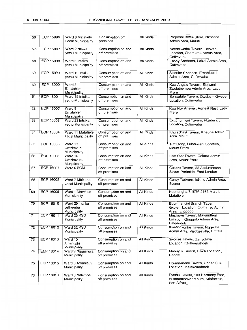$\mathfrak{t}$ 

| 56  | <b>ECP 15996</b> | Ward 8 Matatiele<br>Local Municipality      | Consumption off<br>premises        | All Kinds | Proposal Bottle Store, Nkosana<br>Admin Area, Maluti                                 |
|-----|------------------|---------------------------------------------|------------------------------------|-----------|--------------------------------------------------------------------------------------|
| 57. | <b>ECP 15997</b> | Ward 2 Ntsika<br>yethu Municipality         | Consumption on and<br>off premises | All Kinds | Ncedolwethu Tavern, Bhoveni<br>Location, Chamama Admin Area,<br>Cofimvaba            |
| 58  | ECP 15998        | Ward 6 Intsika<br>yethu Municipality        | Consumption on and<br>off premises | All Kinds | Ebony Shebeen, Lubisi Admin Area,<br>Cofimvaba                                       |
| 59. | <b>ECP 15999</b> | Ward 10 Intsika<br>yethu Municipality       | Consumption on and<br>off premises | All Kinds | Sisonke Shebeen, Emahlubini<br>Admin Area, Cofimvaba                                 |
| 60  | ECP 16000        | Ward 8<br>Emalahieni<br>Municipality        | Consumption on and<br>off premises | All Kinds | Kwa Anga's Tavern, Ejojweni,<br>Zwelethemba Admin Area, Lady<br>Frere                |
| 61  | ECP 16001        | Ward 18 Intsika<br>yethu Municipality       | Consumption on and<br>off premises | All Kinds | Sonwabile Tavern, Qwebe - Qwebe<br>Location, Cofimvaba                               |
| 62. | <b>ECP 16002</b> | Ward 8<br>Emalahleni<br>Municipality        | Consumption on and<br>off premises | All Kinds | Kwa No- Answer, Agnest Rest, Lady<br>Frere                                           |
| 63  | ECP 16003        | Ward 23 Intsika<br>yethu Municipality       | Consumption on and<br>off premises | All Kinds | Ekuphumleni Tavern, Ngabangu<br>Location, Cofimvaba                                  |
| 64  | <b>ECP 16004</b> | Ward 11 Matatiele<br>Local Municipality     | Consumption on and<br>off premises | All Kinds | Khulabhayi Tavern, Khauoe Admin<br>Area, Maluti                                      |
| 65  | <b>ECP 16005</b> | Ward 17<br>Umzimvubu<br>Municipality        | Consumption on and<br>off premises | All Kinds | Tuff Gong, Lubacweni Location,<br>Mount Frere                                        |
| 66  | ECP 16006        | Ward 10<br>Umzimvubu<br>Municipality        | Consumption on and<br>off premises | All Kinds | Five Star Tavern, Colana Admin<br>Area, Mount Frere                                  |
| 67  | <b>ECP 16007</b> | Ward 6 BCM                                  | Consumption on and<br>off premises | All Kinds | Coller's Tavern, 22 Abdurahman<br>Street, Parkside, East London                      |
| 68  | <b>ECP 16008</b> | Ward 7 Mbizana<br>Local Municipality        | Consumption on and<br>off premises | All Kinds | Cossy Ta9vern, Isikelo Admin Area,<br>Bizana                                         |
| 69  | <b>ECP 16009</b> | Ward 1 Matatiele<br>Municipality            | Consumption on and<br>off premises | All Kinds | Koenengha 7, ERF 2163 Maluti,<br>Matatiele                                           |
| 70  | ECP 16010        | Ward 20 Intsika<br>yethemba<br>Municipality | Consumption on and<br>off premises | All Kinds | Ebumnandini Branch Tavern,<br>Gxojeni Location, Qumanso Admin<br>Area, Engcobo       |
| 71  | ECP 16011        | Ward 25 KSD<br>Municipality                 | Consumption on and<br>off premises | All Kinds | Masivuye Tavern, Mavundleni<br>Location, Qingqolo Admin Area,<br>Emganduli           |
| 72  | ECP 16012        | Ward 32 KSD<br>Municipality                 | Consumption on and<br>off premises | All Kinds | KwaNtozonke Tavern, Ngqwala<br>Admin Area, Viedgesville, Umtata                      |
| 73  | ECP 16013        | Ward 10<br>Amahlathi<br>Municipality        | Consumption on and<br>off premises | All Kinds | Siyolise Tavern, Zanyokwe<br>Location, Keiskamahoek                                  |
| 74  | ECP 16014        | Ward 9 Nggushwa<br>Municipality             | Consumption on and<br>off premises | All Kinds | Mabuyi's Tavern, Pikoli Location,<br>Peddie                                          |
| 75  | ECP 16015        | Ward 3 Amahlathi<br>Municipality            | Consumption on and<br>off premises | All Kinds | Ebumnandini Tavern, Upper Gulu<br>Location, Keiskamahoek                             |
| 76  | ECP 16016        | Ward 3 Ndlambe<br>Municipality              | Consumption on and<br>off premises | All Kinds | Eyethu Tavern, 103 Harmony Park,<br>Bushmansriver Mouth, Klipfontein,<br>Port Alfred |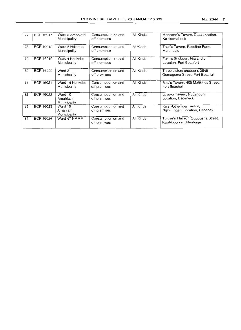| 77 | ECP 16017 | Ward 3 Amahlathi<br>Municipality     | Consumption on and<br>off premises | All Kinds | Mancane's Tavern, Cata Location,<br>Keiskamahoek              |
|----|-----------|--------------------------------------|------------------------------------|-----------|---------------------------------------------------------------|
| 78 | ECP 16018 | Ward 5 Ndlambe<br>Municipality       | Consumption on and<br>off premises | All Kinds | Thuli's Tavern, Roseline Farm,<br>Martindale                  |
| 79 | ECP 16019 | Ward 4 Konkobe<br>Municipality       | Consumption on and<br>off premises | All Kinds | Zuko's Shebeen, Nialandle<br>Location, Fort Beaufort          |
| 80 | ECP 16020 | Ward 21<br>Municipality              | Consumption on and<br>off premises | All Kinds | Three sisters shebeen, 3949<br>Gomagoma Street, Fort Beaufort |
| 81 | ECP 16021 | Ward 18 Konkobe<br>Municipality      | Consumption on and<br>off premises | All Kinds | Biza's Tavern, 405 Matikinca Street,<br>Fort Beaufort         |
| 82 | ECP 16022 | Ward 10<br>Amahlathi<br>Municipality | Consumption on and<br>off premises | All Kinds | Luvuyo Tavern, Ngcangeni<br>Location, Debeneck                |
| 83 | ECP 16023 | Ward 10<br>Amahlathi<br>Municipality | Consumption on and<br>off premises | All Kinds | Kwa Nothemba Tavern,<br>Ngcamngeni Location, Debenek          |
| 84 | ECP 16024 | Ward 47 NMMM                         | Consumption on and<br>off premises | All Kinds | Tutuse's Place, 1 Gqubusha Street,<br>KwaNobuhle, Uitenhage   |